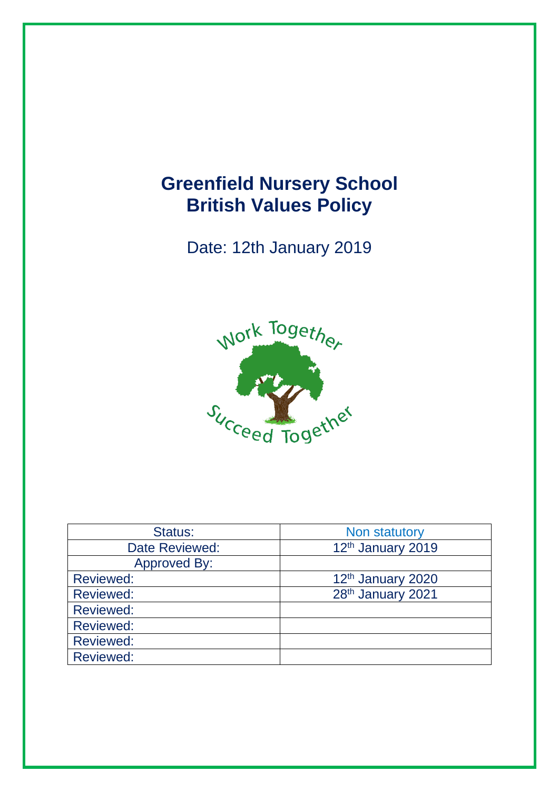# **Greenfield Nursery School British Values Policy**

Date: 12th January 2019



| Status:             | Non statutory     |
|---------------------|-------------------|
| Date Reviewed:      | 12th January 2019 |
| <b>Approved By:</b> |                   |
| <b>Reviewed:</b>    | 12th January 2020 |
| <b>Reviewed:</b>    | 28th January 2021 |
| <b>Reviewed:</b>    |                   |
| <b>Reviewed:</b>    |                   |
| <b>Reviewed:</b>    |                   |
| <b>Reviewed:</b>    |                   |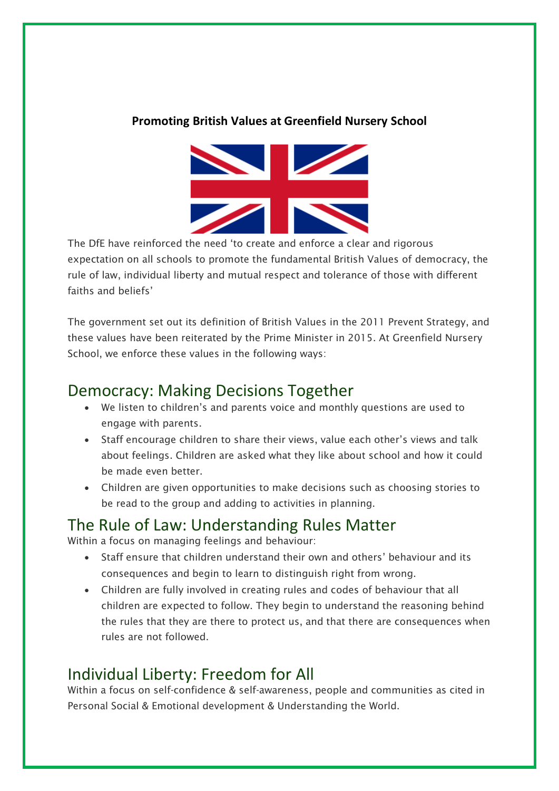#### **Promoting British Values at Greenfield Nursery School**



The DfE have reinforced the need 'to create and enforce a clear and rigorous expectation on all schools to promote the fundamental British Values of democracy, the rule of law, individual liberty and mutual respect and tolerance of those with different faiths and beliefs'

The government set out its definition of British Values in the 2011 Prevent Strategy, and these values have been reiterated by the Prime Minister in 2015. At Greenfield Nursery School, we enforce these values in the following ways:

## Democracy: Making Decisions Together

- We listen to children's and parents voice and monthly questions are used to engage with parents.
- Staff encourage children to share their views, value each other's views and talk about feelings. Children are asked what they like about school and how it could be made even better.
- Children are given opportunities to make decisions such as choosing stories to be read to the group and adding to activities in planning.

### The Rule of Law: Understanding Rules Matter

Within a focus on managing feelings and behaviour:

- Staff ensure that children understand their own and others' behaviour and its consequences and begin to learn to distinguish right from wrong.
- Children are fully involved in creating rules and codes of behaviour that all children are expected to follow. They begin to understand the reasoning behind the rules that they are there to protect us, and that there are consequences when rules are not followed.

# Individual Liberty: Freedom for All

Within a focus on self-confidence & self-awareness, people and communities as cited in Personal Social & Emotional development & Understanding the World.